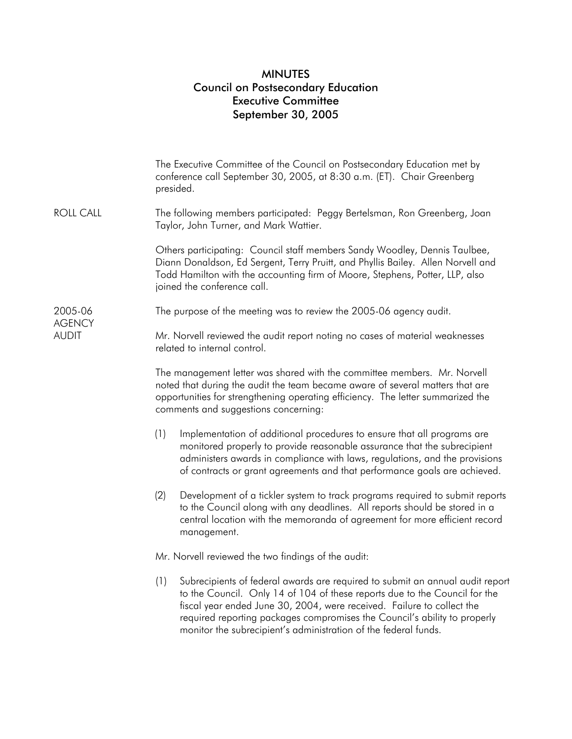## MINUTES Council on Postsecondary Education Executive Committee September 30, 2005

|                                          | The Executive Committee of the Council on Postsecondary Education met by<br>conference call September 30, 2005, at 8:30 a.m. (ET). Chair Greenberg<br>presided.                                                                                                                                                                                                                              |
|------------------------------------------|----------------------------------------------------------------------------------------------------------------------------------------------------------------------------------------------------------------------------------------------------------------------------------------------------------------------------------------------------------------------------------------------|
| <b>ROLL CALL</b>                         | The following members participated: Peggy Bertelsman, Ron Greenberg, Joan<br>Taylor, John Turner, and Mark Wattier.                                                                                                                                                                                                                                                                          |
|                                          | Others participating: Council staff members Sandy Woodley, Dennis Taulbee,<br>Diann Donaldson, Ed Sergent, Terry Pruitt, and Phyllis Bailey. Allen Norvell and<br>Todd Hamilton with the accounting firm of Moore, Stephens, Potter, LLP, also<br>joined the conference call.                                                                                                                |
| 2005-06<br><b>AGENCY</b><br><b>AUDIT</b> | The purpose of the meeting was to review the 2005-06 agency audit.                                                                                                                                                                                                                                                                                                                           |
|                                          | Mr. Norvell reviewed the audit report noting no cases of material weaknesses<br>related to internal control.                                                                                                                                                                                                                                                                                 |
|                                          | The management letter was shared with the committee members. Mr. Norvell<br>noted that during the audit the team became aware of several matters that are<br>opportunities for strengthening operating efficiency. The letter summarized the<br>comments and suggestions concerning:                                                                                                         |
|                                          | (1)<br>Implementation of additional procedures to ensure that all programs are<br>monitored properly to provide reasonable assurance that the subrecipient<br>administers awards in compliance with laws, regulations, and the provisions<br>of contracts or grant agreements and that performance goals are achieved.                                                                       |
|                                          | (2)<br>Development of a tickler system to track programs required to submit reports<br>to the Council along with any deadlines. All reports should be stored in a<br>central location with the memoranda of agreement for more efficient record<br>management.                                                                                                                               |
|                                          | Mr. Norvell reviewed the two findings of the audit:                                                                                                                                                                                                                                                                                                                                          |
|                                          | Subrecipients of federal awards are required to submit an annual audit report<br>(1)<br>to the Council. Only 14 of 104 of these reports due to the Council for the<br>fiscal year ended June 30, 2004, were received. Failure to collect the<br>required reporting packages compromises the Council's ability to properly<br>monitor the subrecipient's administration of the federal funds. |
|                                          |                                                                                                                                                                                                                                                                                                                                                                                              |